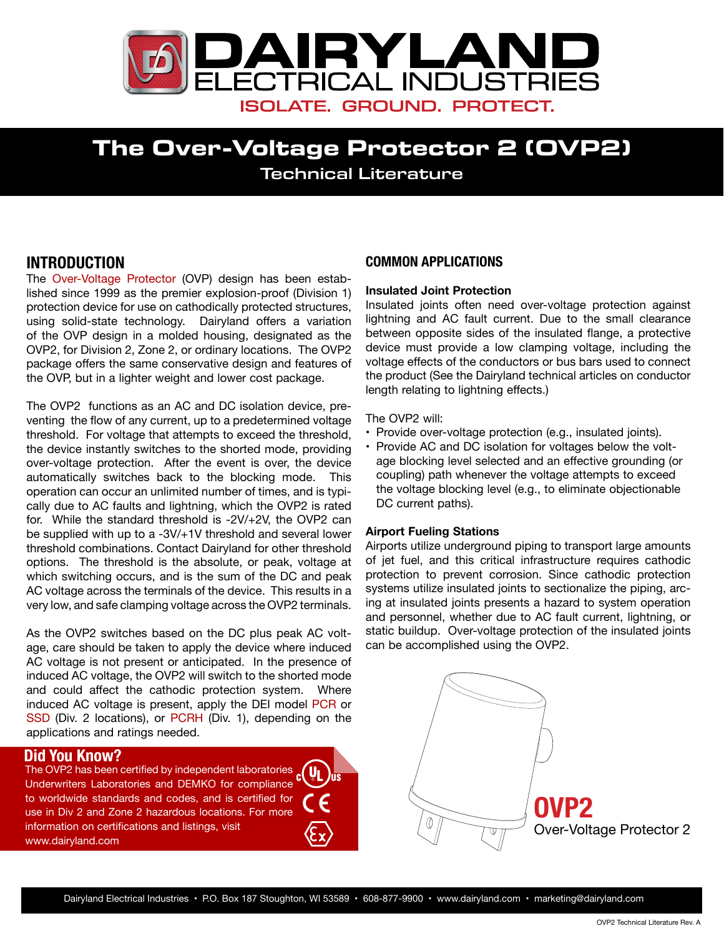

# **The Over-Voltage Protector 2 (OVP2)** Technical Literature

## **INTRODUCTION**

The [Over-Voltage Protector](http://www.dairyland.com/products/ovp) (OVP) design has been established since 1999 as the premier explosion-proof (Division 1) protection device for use on cathodically protected structures, using solid-state technology. Dairyland offers a variation of the OVP design in a molded housing, designated as the OVP2, for Division 2, Zone 2, or ordinary locations. The OVP2 package offers the same conservative design and features of the OVP, but in a lighter weight and lower cost package.

The OVP2 functions as an AC and DC isolation device, preventing the flow of any current, up to a predetermined voltage threshold. For voltage that attempts to exceed the threshold, the device instantly switches to the shorted mode, providing over-voltage protection. After the event is over, the device automatically switches back to the blocking mode. This operation can occur an unlimited number of times, and is typically due to AC faults and lightning, which the OVP2 is rated for. While the standard threshold is -2V/+2V, the OVP2 can be supplied with up to a -3V/+1V threshold and several lower threshold combinations. Contact Dairyland for other threshold options. The threshold is the absolute, or peak, voltage at which switching occurs, and is the sum of the DC and peak AC voltage across the terminals of the device. This results in a very low, and safe clamping voltage across the OVP2 terminals.

As the OVP2 switches based on the DC plus peak AC voltage, care should be taken to apply the device where induced AC voltage is not present or anticipated. In the presence of induced AC voltage, the OVP2 will switch to the shorted mode and could affect the cathodic protection system. Where induced AC voltage is present, apply the DEI model [PCR](http://www.dairyland.com/products/pcr) or [SSD](http://www.dairyland.com/products/ssd) (Div. 2 locations), or [PCRH](http://www.dairyland.com/products/pcrh) (Div. 1), depending on the applications and ratings needed.

## **Did You Know?**

DIG TOG THOM THE CHILICAL STATES THE OVP2 has been certified by independent laboratories  $\frac{1}{c}$ Underwriters Laboratories and DEMKO for compliance to worldwide standards and codes, and is certified for use in Div 2 and Zone 2 hazardous locations. For more information on certifications and listings, visit www.dairyland.com

## **COMMON APPLICATIONS**

## **Insulated Joint Protection**

Insulated joints often need over-voltage protection against lightning and AC fault current. Due to the small clearance between opposite sides of the insulated flange, a protective device must provide a low clamping voltage, including the voltage effects of the conductors or bus bars used to connect the product (See the Dairyland technical articles on conductor length relating to lightning effects.)

The OVP2 will:

- Provide over-voltage protection (e.g., insulated joints).
- Provide AC and DC isolation for voltages below the voltage blocking level selected and an effective grounding (or coupling) path whenever the voltage attempts to exceed the voltage blocking level (e.g., to eliminate objectionable DC current paths).

## **Airport Fueling Stations**

Airports utilize underground piping to transport large amounts of jet fuel, and this critical infrastructure requires cathodic protection to prevent corrosion. Since cathodic protection systems utilize insulated joints to sectionalize the piping, arcing at insulated joints presents a hazard to system operation and personnel, whether due to AC fault current, lightning, or static buildup. Over-voltage protection of the insulated joints can be accomplished using the OVP2.

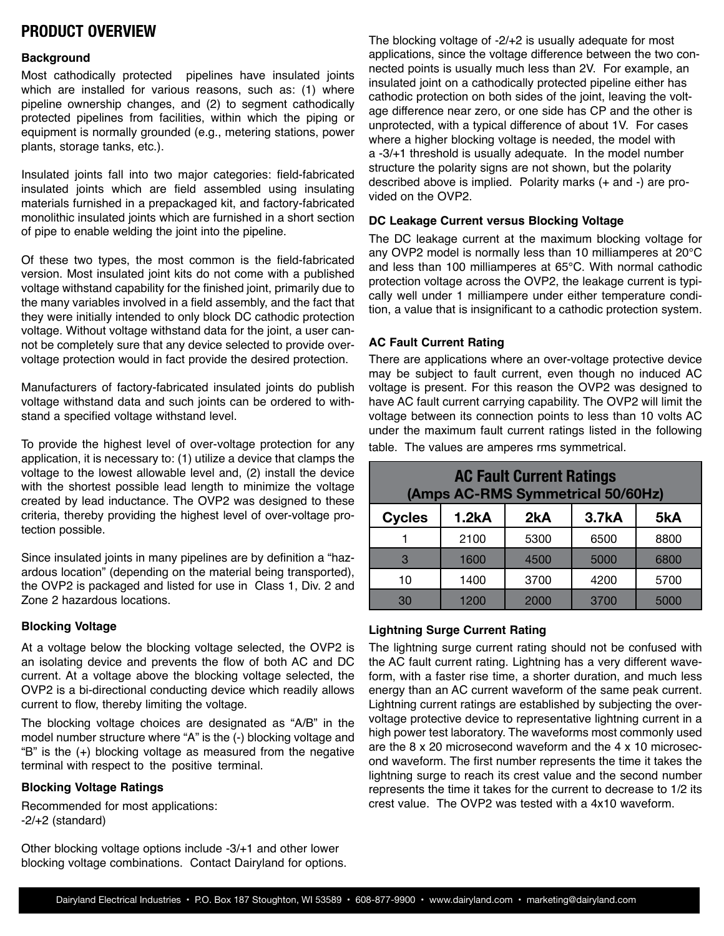## **PRODUCT OVERVIEW**

### **Background**

Most cathodically protected pipelines have insulated joints which are installed for various reasons, such as: (1) where pipeline ownership changes, and (2) to segment cathodically protected pipelines from facilities, within which the piping or equipment is normally grounded (e.g., metering stations, power plants, storage tanks, etc.).

Insulated joints fall into two major categories: field-fabricated insulated joints which are field assembled using insulating materials furnished in a prepackaged kit, and factory-fabricated monolithic insulated joints which are furnished in a short section of pipe to enable welding the joint into the pipeline.

Of these two types, the most common is the field-fabricated version. Most insulated joint kits do not come with a published voltage withstand capability for the finished joint, primarily due to the many variables involved in a field assembly, and the fact that they were initially intended to only block DC cathodic protection voltage. Without voltage withstand data for the joint, a user cannot be completely sure that any device selected to provide overvoltage protection would in fact provide the desired protection.

Manufacturers of factory-fabricated insulated joints do publish voltage withstand data and such joints can be ordered to withstand a specified voltage withstand level.

To provide the highest level of over-voltage protection for any application, it is necessary to: (1) utilize a device that clamps the voltage to the lowest allowable level and, (2) install the device with the shortest possible lead length to minimize the voltage created by lead inductance. The OVP2 was designed to these criteria, thereby providing the highest level of over-voltage protection possible.

Since insulated joints in many pipelines are by definition a "hazardous location" (depending on the material being transported), the OVP2 is packaged and listed for use in Class 1, Div. 2 and Zone 2 hazardous locations.

### **Blocking Voltage**

At a voltage below the blocking voltage selected, the OVP2 is an isolating device and prevents the flow of both AC and DC current. At a voltage above the blocking voltage selected, the OVP2 is a bi-directional conducting device which readily allows current to flow, thereby limiting the voltage.

The blocking voltage choices are designated as "A/B" in the model number structure where "A" is the (-) blocking voltage and "B" is the (+) blocking voltage as measured from the negative terminal with respect to the positive terminal.

### **Blocking Voltage Ratings**

Recommended for most applications: -2/+2 (standard)

Other blocking voltage options include -3/+1 and other lower blocking voltage combinations. Contact Dairyland for options.

The blocking voltage of -2/+2 is usually adequate for most applications, since the voltage difference between the two connected points is usually much less than 2V. For example, an insulated joint on a cathodically protected pipeline either has cathodic protection on both sides of the joint, leaving the voltage difference near zero, or one side has CP and the other is unprotected, with a typical difference of about 1V. For cases where a higher blocking voltage is needed, the model with a -3/+1 threshold is usually adequate. In the model number structure the polarity signs are not shown, but the polarity described above is implied. Polarity marks (+ and -) are provided on the OVP2.

### **DC Leakage Current versus Blocking Voltage**

The DC leakage current at the maximum blocking voltage for any OVP2 model is normally less than 10 milliamperes at 20°C and less than 100 milliamperes at 65°C. With normal cathodic protection voltage across the OVP2, the leakage current is typically well under 1 milliampere under either temperature condition, a value that is insignificant to a cathodic protection system.

## **AC Fault Current Rating**

There are applications where an over-voltage protective device may be subject to fault current, even though no induced AC voltage is present. For this reason the OVP2 was designed to have AC fault current carrying capability. The OVP2 will limit the voltage between its connection points to less than 10 volts AC under the maximum fault current ratings listed in the following table. The values are amperes rms symmetrical.

| <b>AC Fault Current Ratings</b><br>(Amps AC-RMS Symmetrical 50/60Hz) |          |      |                    |      |  |  |  |
|----------------------------------------------------------------------|----------|------|--------------------|------|--|--|--|
| <b>Cycles</b>                                                        | $1.2k$ A | 2kA  | 3.7 <sub>k</sub> A | 5kA  |  |  |  |
|                                                                      | 2100     | 5300 | 6500               | 8800 |  |  |  |
| 3                                                                    | 1600     | 4500 | 5000               | 6800 |  |  |  |
| 10                                                                   | 1400     | 3700 | 4200               | 5700 |  |  |  |
| 30                                                                   | 1200     | 2000 | 3700               | 5000 |  |  |  |

## **Lightning Surge Current Rating**

The lightning surge current rating should not be confused with the AC fault current rating. Lightning has a very different waveform, with a faster rise time, a shorter duration, and much less energy than an AC current waveform of the same peak current. Lightning current ratings are established by subjecting the overvoltage protective device to representative lightning current in a high power test laboratory. The waveforms most commonly used are the 8 x 20 microsecond waveform and the 4 x 10 microsecond waveform. The first number represents the time it takes the lightning surge to reach its crest value and the second number represents the time it takes for the current to decrease to 1/2 its crest value. The OVP2 was tested with a 4x10 waveform.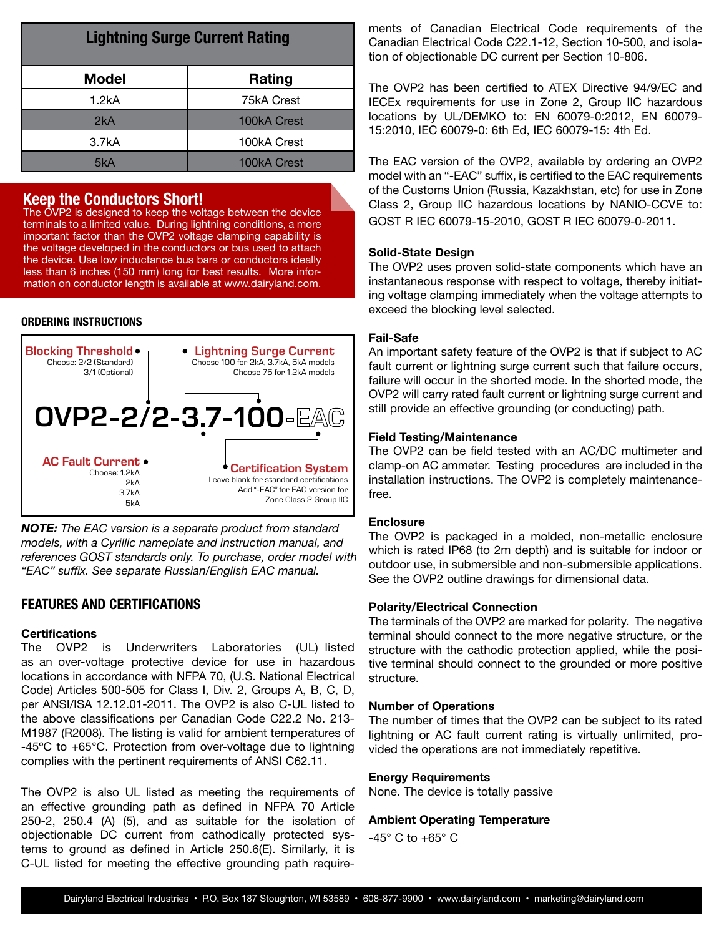| <b>Lightning Surge Current Rating</b> |             |  |  |  |  |
|---------------------------------------|-------------|--|--|--|--|
| <b>Model</b>                          | Rating      |  |  |  |  |
| 1.2kA                                 | 75kA Crest  |  |  |  |  |
| 2kA                                   | 100kA Crest |  |  |  |  |
| 3.7kA                                 | 100kA Crest |  |  |  |  |
| 5kA                                   | 100kA Crest |  |  |  |  |

## **Keep the Conductors Short!**

The OVP2 is designed to keep the voltage between the device terminals to a limited value. During lightning conditions, a more important factor than the OVP2 voltage clamping capability is the voltage developed in the conductors or bus used to attach the device. Use low inductance bus bars or conductors ideally less than 6 inches (150 mm) long for best results. More information on conductor length is available at www.dairyland.com.

## **ORDERING INSTRUCTIONS**



*NOTE: The EAC version is a separate product from standard models, with a Cyrillic nameplate and instruction manual, and references GOST standards only. To purchase, order model with "EAC" suffix. See separate Russian/English EAC manual.*

## **FEATURES AND CERTIFICATIONS**

### **Certifications**

The OVP2 is Underwriters Laboratories (UL) listed as an over-voltage protective device for use in hazardous locations in accordance with NFPA 70, (U.S. National Electrical Code) Articles 500-505 for Class I, Div. 2, Groups A, B, C, D, per ANSI/ISA 12.12.01-2011. The OVP2 is also C-UL listed to the above classifications per Canadian Code C22.2 No. 213- M1987 (R2008). The listing is valid for ambient temperatures of -45ºC to +65°C. Protection from over-voltage due to lightning complies with the pertinent requirements of ANSI C62.11.

The OVP2 is also UL listed as meeting the requirements of an effective grounding path as defined in NFPA 70 Article 250-2, 250.4 (A) (5), and as suitable for the isolation of objectionable DC current from cathodically protected systems to ground as defined in Article 250.6(E). Similarly, it is C-UL listed for meeting the effective grounding path requirements of Canadian Electrical Code requirements of the Canadian Electrical Code C22.1-12, Section 10-500, and isolation of objectionable DC current per Section 10-806.

The OVP2 has been certified to ATEX Directive 94/9/EC and IECEx requirements for use in Zone 2, Group IIC hazardous locations by UL/DEMKO to: EN 60079-0:2012, EN 60079- 15:2010, IEC 60079-0: 6th Ed, IEC 60079-15: 4th Ed.

The EAC version of the OVP2, available by ordering an OVP2 model with an "-EAC" suffix, is certified to the EAC requirements of the Customs Union (Russia, Kazakhstan, etc) for use in Zone Class 2, Group IIC hazardous locations by NANIO-CCVE to: GOST R IEC 60079-15-2010, GOST R IEC 60079-0-2011.

#### **Solid-State Design**

The OVP2 uses proven solid-state components which have an instantaneous response with respect to voltage, thereby initiating voltage clamping immediately when the voltage attempts to exceed the blocking level selected.

### **Fail-Safe**

An important safety feature of the OVP2 is that if subject to AC fault current or lightning surge current such that failure occurs, failure will occur in the shorted mode. In the shorted mode, the OVP2 will carry rated fault current or lightning surge current and still provide an effective grounding (or conducting) path.

#### **Field Testing/Maintenance**

The OVP2 can be field tested with an AC/DC multimeter and clamp-on AC ammeter. Testing procedures are included in the installation instructions. The OVP2 is completely maintenancefree.

#### **Enclosure**

The OVP2 is packaged in a molded, non-metallic enclosure which is rated IP68 (to 2m depth) and is suitable for indoor or outdoor use, in submersible and non-submersible applications. See the OVP2 outline drawings for dimensional data.

#### **Polarity/Electrical Connection**

The terminals of the OVP2 are marked for polarity. The negative terminal should connect to the more negative structure, or the structure with the cathodic protection applied, while the positive terminal should connect to the grounded or more positive structure.

#### **Number of Operations**

The number of times that the OVP2 can be subject to its rated lightning or AC fault current rating is virtually unlimited, provided the operations are not immediately repetitive.

#### **Energy Requirements**

None. The device is totally passive

#### **Ambient Operating Temperature**

-45° C to +65° C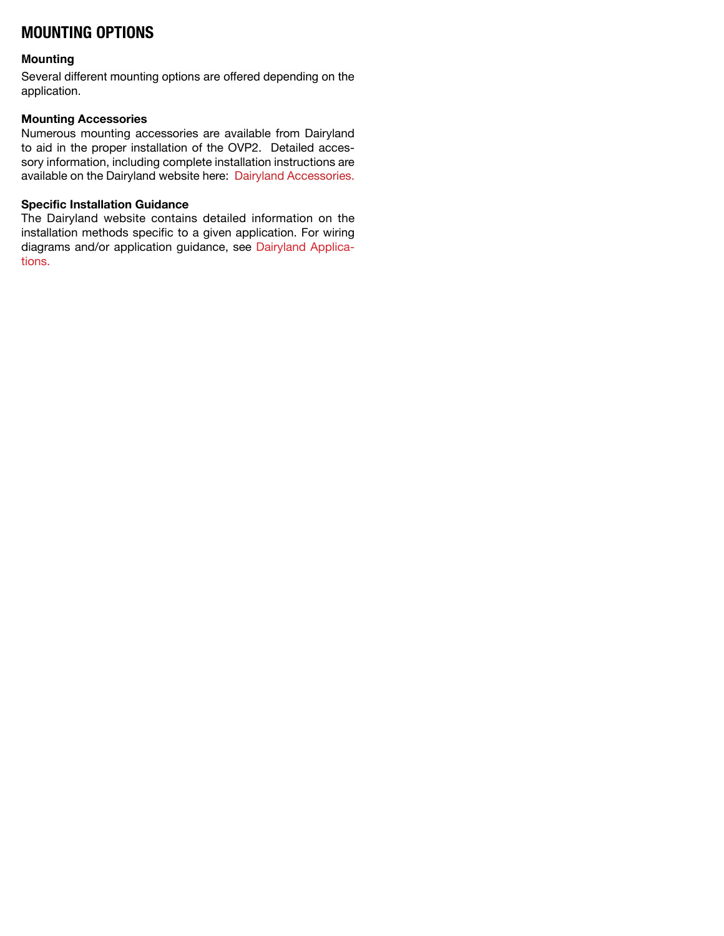## **MOUNTING OPTIONS**

## **Mounting**

Several different mounting options are offered depending on the application.

## **Mounting Accessories**

Numerous mounting accessories are available from Dairyland to aid in the proper installation of the OVP2. Detailed accessory information, including complete installation instructions are available on the Dairyland website here: [Dairyland Accessories.](http://www.dairyland.com/accessories)

## **Specific Installation Guidance**

The Dairyland website contains detailed information on the installation methods specific to a given application. For wiring diagrams and/or application guidance, see [Dairyland Applica](http://www.dairyland.com/applications)[tions.](http://www.dairyland.com/applications)